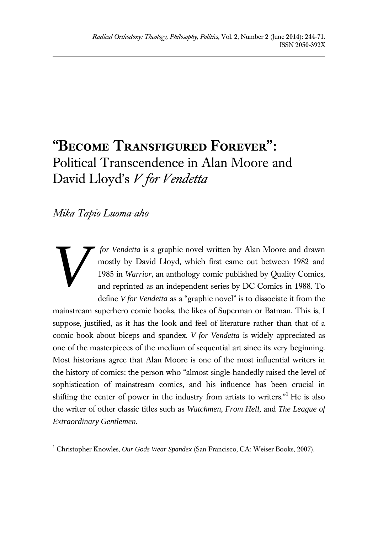# **"Become Transfigured Forever" :** Political Transcendence in Alan Moore and David Lloyd' s *V for Vendetta*

*Mika Tapio Luoma-aho*

*V*

 $\overline{a}$ 

*for Vendetta* is a graphic novel written by Alan Moore and drawn mostly by David Lloyd, which first came out between 1982 and 1985 in *Warrior*, an anthology comic published by Quality Comics, and reprinted as an independent series by DC Comics in 1988. To define *V for Vendetta* as a "graphic novel" is to dissociate it from the

mainstream superhero comic books, the likes of Superman or Batman. This is, I suppose, justified, as it has the look and feel of literature rather than that of a comic book about biceps and spandex. *V for Vendetta* is widely appreciated as one of the masterpieces of the medium of sequential art since its very beginning. Most historians agree that Alan Moore is one of the most influential writers in the history of comics: the person who "almost single-handedly raised the level of sophistication of mainstream comics, and his influence has been crucial in shifting the center of power in the industry from artists to writers."<sup>1</sup> He is also the writer of other classic titles such as *Watchmen*, *From Hell*, and *The League of Extraordinary Gentlemen*.

<sup>1</sup> Christopher Knowles, *Our Gods Wear Spandex* (San Francisco, CA: Weiser Books, 2007).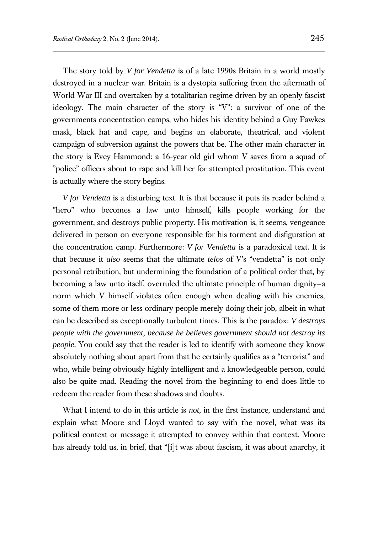The story told by *V for Vendetta* is of a late 1990s Britain in a world mostly destroyed in a nuclear war. Britain is a dystopia suffering from the aftermath of World War III and overtaken by a totalitarian regime driven by an openly fascist ideology. The main character of the story is "V": a survivor of one of the governments concentration camps, who hides his identity behind a Guy Fawkes mask, black hat and cape, and begins an elaborate, theatrical, and violent campaign of subversion against the powers that be. The other main character in the story is Evey Hammond: a 16-year old girl whom V saves from a squad of "police" officers about to rape and kill her for attempted prostitution. This event is actually where the story begins.

*V for Vendetta* is a disturbing text. It is that because it puts its reader behind a "hero" who becomes a law unto himself, kills people working for the government, and destroys public property. His motivation is, it seems, vengeance delivered in person on everyone responsible for his torment and disfiguration at the concentration camp. Furthermore: *V for Vendetta* is a paradoxical text. It is that because it *also* seems that the ultimate *telos* of V's "vendetta" is not only personal retribution, but undermining the foundation of a political order that, by becoming a law unto itself, overruled the ultimate principle of human dignity—a norm which V himself violates often enough when dealing with his enemies, some of them more or less ordinary people merely doing their job, albeit in what can be described as exceptionally turbulent times. This is the paradox: *V destroys people with the government, because he believes government should not destroy its people*. You could say that the reader is led to identify with someone they know absolutely nothing about apart from that he certainly qualifies as a "terrorist" and who, while being obviously highly intelligent and a knowledgeable person, could also be quite mad. Reading the novel from the beginning to end does little to redeem the reader from these shadows and doubts.

What I intend to do in this article is *not*, in the first instance, understand and explain what Moore and Lloyd wanted to say with the novel, what was its political context or message it attempted to convey within that context. Moore has already told us, in brief, that "[i]t was about fascism, it was about anarchy, it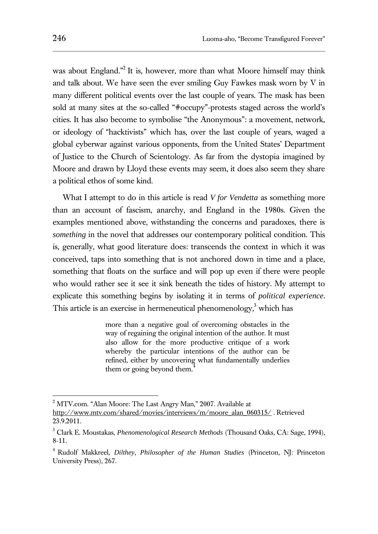was about England."<sup>2</sup> It is, however, more than what Moore himself may think and talk about. We have seen the ever smiling Guy Fawkes mask worn by V in many different political events over the last couple of years. The mask has been sold at many sites at the so-called "#occupy"-protests staged across the world's cities. It has also become to symbolise "the Anonymous": a movement, network, or ideology of "hacktivists" which has, over the last couple of years, waged a global cyberwar against various opponents, from the United States' Department of Justice to the Church of Scientology. As far from the dystopia imagined by Moore and drawn by Lloyd these events may seem, it does also seem they share a political ethos of some kind.

What I attempt to do in this article is read *V for Vendetta* as something more than an account of fascism, anarchy, and England in the 1980s. Given the examples mentioned above, withstanding the concerns and paradoxes, there is *something* in the novel that addresses our contemporary political condition. This is, generally, what good literature does: transcends the context in which it was conceived, taps into something that is not anchored down in time and a place, something that floats on the surface and will pop up even if there were people who would rather see it see it sink beneath the tides of history. My attempt to explicate this something begins by isolating it in terms of *political experience*. This article is an exercise in hermeneutical phenomenology,<sup>3</sup> which has

> more than a negative goal of overcoming obstacles in the way of regaining the original intention of the author. It must also allow for the more productive critique of a work whereby the particular intentions of the author can be refined, either by uncovering what fundamentally underlies them or going beyond them.<sup>4</sup>

<sup>&</sup>lt;sup>2</sup> MTV.com. "Alan Moore: The Last Angry Man," 2007. Available at

http://www.mtv.com/shared/movies/interviews/m/moore\_alan\_060315/ . Retrieved 23.9.2011.

<sup>3</sup> Clark E. Moustakas, *Phenomenological Research Methods* (Thousand Oaks, CA: Sage, 1994), 8-11.

<sup>4</sup> Rudolf Makkreel, *Dilthey, Philosopher of the Human Studies* (Princeton, NJ: Princeton University Press), 267.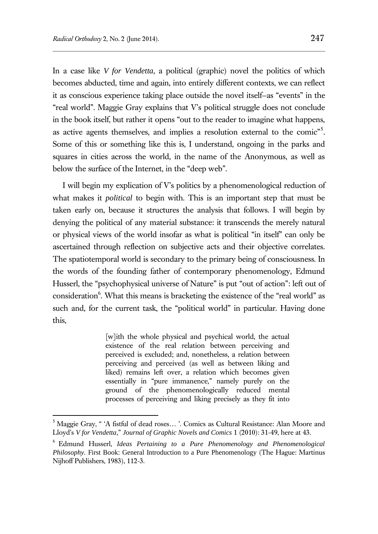$\overline{a}$ 

In a case like *V for Vendetta*, a political (graphic) novel the politics of which becomes abducted, time and again, into entirely different contexts, we can reflect it as conscious experience taking place outside the novel itself—as "events" in the "real world". Maggie Gray explains that V's political struggle does not conclude in the book itself, but rather it opens "out to the reader to imagine what happens, as active agents themselves, and implies a resolution external to the comic"<sup>5</sup>. Some of this or something like this is, I understand, ongoing in the parks and squares in cities across the world, in the name of the Anonymous, as well as below the surface of the Internet, in the "deep web".

I will begin my explication of V's politics by a phenomenological reduction of what makes it *political* to begin with. This is an important step that must be taken early on, because it structures the analysis that follows. I will begin by denying the political of any material substance: it transcends the merely natural or physical views of the world insofar as what is political "in itself" can only be ascertained through reflection on subjective acts and their objective correlates. The spatiotemporal world is secondary to the primary being of consciousness. In the words of the founding father of contemporary phenomenology, Edmund Husserl, the "psychophysical universe of Nature" is put "out of action": left out of consideration<sup>6</sup>. What this means is bracketing the existence of the "real world" as such and, for the current task, the "political world" in particular. Having done this,

> [w]ith the whole physical and psychical world, the actual existence of the real relation between perceiving and perceived is excluded; and, nonetheless, a relation between perceiving and perceived (as well as between liking and liked) remains left over, a relation which becomes given essentially in "pure immanence," namely purely on the ground of the phenomenologically reduced mental processes of perceiving and liking precisely as they fit into

<sup>&</sup>lt;sup>5</sup> Maggie Gray, " 'A fistful of dead roses... '. Comics as Cultural Resistance: Alan Moore and Lloyd's *V for Vendetta,*" *Journal of Graphic Novels and Comics* 1 (2010): 31-49, here at 43.

<sup>6</sup> Edmund Husserl, *Ideas Pertaining to a Pure Phenomenology and Phenomenological Philosophy.* First Book: General Introduction to a Pure Phenomenology (The Hague: Martinus Nijhoff Publishers, 1983), 112-3.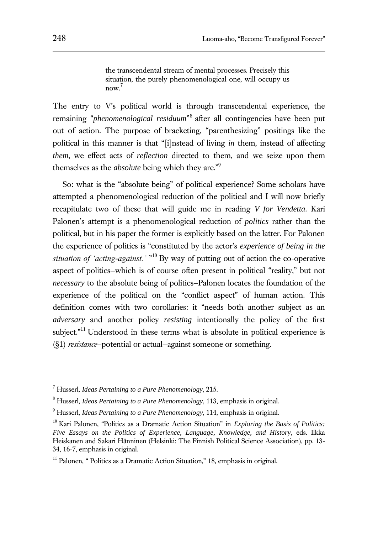the transcendental stream of mental processes. Precisely this situation, the purely phenomenological one, will occupy us now. 7

The entry to V's political world is through transcendental experience, the remaining "*phenomenological residuum*" 8 after all contingencies have been put out of action. The purpose of bracketing, "parenthesizing" positings like the political in this manner is that "[i]nstead of living *in* them, instead of affecting *them*, we effect acts of *reflection* directed to them, and we seize upon them themselves as the *absolute* being which they are."<sup>9</sup>

So: what is the "absolute being" of political experience? Some scholars have attempted a phenomenological reduction of the political and I will now briefly recapitulate two of these that will guide me in reading *V for Vendetta*. Kari Palonen's attempt is a phenomenological reduction of *politics* rather than the political, but in his paper the former is explicitly based on the latter. For Palonen the experience of politics is "constituted by the actor's *experience of being in the situation of 'acting-against.'* " <sup>10</sup> By way of putting out of action the co-operative aspect of politics—which is of course often present in political "reality," but not *necessary* to the absolute being of politics—Palonen locates the foundation of the experience of the political on the "conflict aspect" of human action. This definition comes with two corollaries: it "needs both another subject as an *adversary* and another policy *resisting* intentionally the policy of the first subject."<sup>11</sup> Understood in these terms what is absolute in political experience is (§1) *resistance*—potential or actual—against someone or something.

<sup>7</sup> Husserl, *Ideas Pertaining to a Pure Phenomenology*, 215.

<sup>8</sup> Husserl, *Ideas Pertaining to a Pure Phenomenology*, 113, emphasis in original.

<sup>9</sup> Husserl, *Ideas Pertaining to a Pure Phenomenology*, 114, emphasis in original.

<sup>10</sup> Kari Palonen, "Politics as a Dramatic Action Situation" in *Exploring the Basis of Politics: Five Essays on the Politics of Experience, Language, Knowledge, and History*, eds. Ilkka Heiskanen and Sakari Hänninen (Helsinki: The Finnish Political Science Association), pp. 13- 34, 16-7, emphasis in original.

 $11$  Palonen, " Politics as a Dramatic Action Situation," 18, emphasis in original.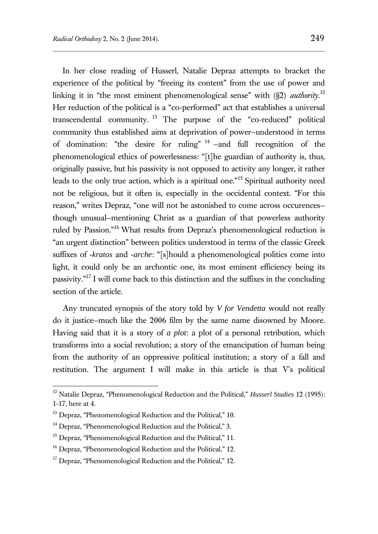In her close reading of Husserl, Natalie Depraz attempts to bracket the experience of the political by "freeing its content" from the use of power and linking it in "the most eminent phenomenological sense" with (§2) *authority*. 12 Her reduction of the political is a "co-performed" act that establishes a universal transcendental community. <sup>13</sup> The purpose of the "co-reduced" political community thus established aims at deprivation of power—understood in terms of domination: "the desire for ruling"  $14$  -and full recognition of the phenomenological ethics of powerlessness: "[t]he guardian of authority is, thus, originally passive, but his passivity is not opposed to activity any longer, it rather leads to the only true action, which is a spiritual one."<sup>15</sup> Spiritual authority need not be religious, but it often is, especially in the occidental context. "For this reason," writes Depraz, "one will not be astonished to come across occurences though unusual—mentioning Christ as a guardian of that powerless authority ruled by Passion."<sup>16</sup> What results from Depraz's phenomenological reduction is "an urgent distinction" between politics understood in terms of the classic Greek suffixes of *-kratos* and *-arche*: "[s]hould a phenomenological politics come into light, it could only be an archontic one, its most eminent efficiency being its passivity."<sup>17</sup> I will come back to this distinction and the suffixes in the concluding section of the article.

Any truncated synopsis of the story told by *V for Vendetta* would not really do it justice—much like the 2006 film by the same name disowned by Moore. Having said that it is a story of *a plot*: a plot of a personal retribution, which transforms into a social revolution; a story of the emancipation of human being from the authority of an oppressive political institution; a story of a fall and restitution. The argument I will make in this article is that V's political

<sup>12</sup> Natalie Depraz, "Phenomenological Reduction and the Political," *Husserl Studies* 12 (1995): 1‐17, here at 4.

<sup>&</sup>lt;sup>13</sup> Depraz, "Phenomenological Reduction and the Political," 10.

<sup>&</sup>lt;sup>14</sup> Depraz, "Phenomenological Reduction and the Political," 3.

<sup>&</sup>lt;sup>15</sup> Depraz, "Phenomenological Reduction and the Political," 11.

<sup>&</sup>lt;sup>16</sup> Depraz, "Phenomenological Reduction and the Political," 12.

<sup>&</sup>lt;sup>17</sup> Depraz, "Phenomenological Reduction and the Political," 12.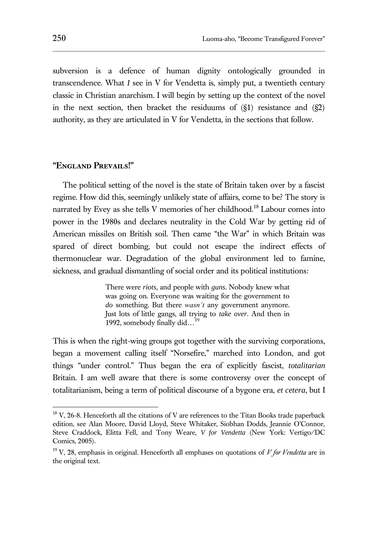subversion is a defence of human dignity ontologically grounded in transcendence. What *I* see in V for Vendetta is, simply put, a twentieth century classic in Christian anarchism. I will begin by setting up the context of the novel in the next section, then bracket the residuums of  $(S1)$  resistance and  $(S2)$ authority, as they are articulated in V for Vendetta, in the sections that follow.

### **"England Prevails!"**

The political setting of the novel is the state of Britain taken over by a fascist regime. How did this, seemingly unlikely state of affairs, come to be? The story is narrated by Evey as she tells V memories of her childhood.<sup>18</sup> Labour comes into power in the 1980s and declares neutrality in the Cold War by getting rid of American missiles on British soil. Then came "the War" in which Britain was spared of direct bombing, but could not escape the indirect effects of thermonuclear war. Degradation of the global environment led to famine, sickness, and gradual dismantling of social order and its political institutions:

> There were *riots*, and people with *guns*. Nobody knew what was going on. Everyone was waiting for the government to *do* something. But there *wasn't* any government anymore. Just lots of little gangs, all trying to *take over*. And then in 1992, somebody finally did...<sup>19</sup>

This is when the right-wing groups got together with the surviving corporations, began a movement calling itself "Norsefire," marched into London, and got things "under control." Thus began the era of explicitly fascist, *totalitarian* Britain. I am well aware that there is some controversy over the concept of totalitarianism, being a term of political discourse of a bygone era, *et cetera*, but I

 $18$  V, 26-8. Henceforth all the citations of V are references to the Titan Books trade paperback edition, see Alan Moore, David Lloyd, Steve Whitaker, Siobhan Dodds, Jeannie O'Connor, Steve Craddock, Elitta Fell, and Tony Weare, *V for Vendetta* (New York: Vertigo/DC Comics, 2005).

<sup>19</sup> V, 28, emphasis in original. Henceforth all emphases on quotations of *V for Vendetta* are in the original text.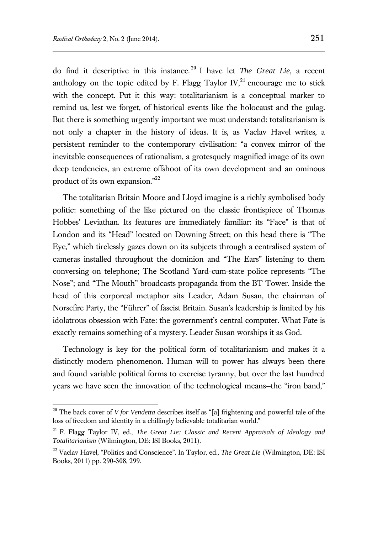$\overline{a}$ 

do find it descriptive in this instance. <sup>20</sup> I have let *The Great Lie*, a recent anthology on the topic edited by F. Flagg Taylor  $\rm IV,^{21}$  encourage me to stick with the concept. Put it this way: totalitarianism is a conceptual marker to remind us, lest we forget, of historical events like the holocaust and the gulag. But there is something urgently important we must understand: totalitarianism is not only a chapter in the history of ideas. It is, as Vaclav Havel writes, a persistent reminder to the contemporary civilisation: "a convex mirror of the inevitable consequences of rationalism, a grotesquely magnified image of its own deep tendencies, an extreme offshoot of its own development and an ominous product of its own expansion."<sup>22</sup>

The totalitarian Britain Moore and Lloyd imagine is a richly symbolised body politic: something of the like pictured on the classic frontispiece of Thomas Hobbes' Leviathan. Its features are immediately familiar: its "Face" is that of London and its "Head" located on Downing Street; on this head there is "The Eye," which tirelessly gazes down on its subjects through a centralised system of cameras installed throughout the dominion and "The Ears" listening to them conversing on telephone; The Scotland Yard-cum-state police represents "The Nose"; and "The Mouth" broadcasts propaganda from the BT Tower. Inside the head of this corporeal metaphor sits Leader, Adam Susan, the chairman of Norsefire Party, the "Führer" of fascist Britain. Susan's leadership is limited by his idolatrous obsession with Fate: the government's central computer. What Fate is exactly remains something of a mystery. Leader Susan worships it as God.

Technology is key for the political form of totalitarianism and makes it a distinctly modern phenomenon. Human will to power has always been there and found variable political forms to exercise tyranny, but over the last hundred years we have seen the innovation of the technological means—the "iron band,"

<sup>20</sup> The back cover of *V for Vendetta* describes itself as "[a] frightening and powerful tale of the loss of freedom and identity in a chillingly believable totalitarian world."

<sup>21</sup> F. Flagg Taylor IV, ed., *The Great Lie: Classic and Recent Appraisals of Ideology and Totalitarianism* (Wilmington, DE: ISI Books, 2011).

<sup>22</sup> Vaclav Havel, "Politics and Conscience". In Taylor, ed., *The Great Lie* (Wilmington, DE: ISI Books, 2011) pp. 290-308, 299.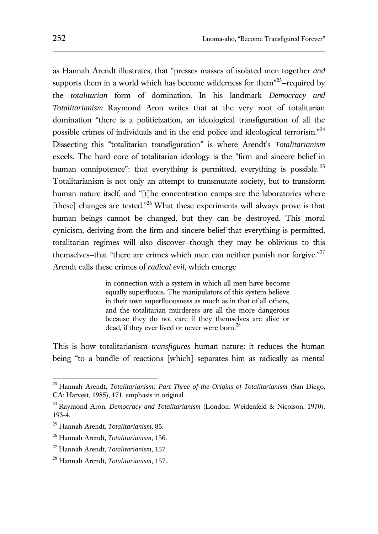as Hannah Arendt illustrates, that "presses masses of isolated men together *and* supports them in a world which has become wilderness for them $123$ –required by the *totalitarian* form of domination. In his landmark *Democracy and Totalitarianism* Raymond Aron writes that at the very root of totalitarian domination "there is a politicization, an ideological transfiguration of all the possible crimes of individuals and in the end police and ideological terrorism."<sup>24</sup> Dissecting this "totalitarian transfiguration" is where Arendt's *Totalitarianism* excels. The hard core of totalitarian ideology is the "firm and sincere belief in human omnipotence": that everything is permitted, everything is possible.<sup>25</sup> Totalitarianism is not only an attempt to transmutate society, but to transform human nature itself, and "[t]he concentration camps are the laboratories where [these] changes are tested."<sup>26</sup> What these experiments will always prove is that human beings cannot be changed, but they can be destroyed. This moral cynicism, deriving from the firm and sincere belief that everything is permitted, totalitarian regimes will also discover—though they may be oblivious to this themselves–that "there are crimes which men can neither punish nor forgive."<sup>27</sup> Arendt calls these crimes of *radical evil*, which emerge

> in connection with a system in which all men have become equally superfluous. The manipulators of this system believe in their own superfluousness as much as in that of all others, and the totalitarian murderers are all the more dangerous because they do not care if they themselves are alive or dead, if they ever lived or never were born.<sup>28</sup>

This is how totalitarianism *transfigures* human nature: it reduces the human being "to a bundle of reactions [which] separates him as radically as mental

<sup>23</sup> Hannah Arendt, *Totalitarianism: Part Three of the Origins of Totalitarianism* (San Diego, CA: Harvest, 1985), 171, emphasis in original.

<sup>24</sup> Raymond Aron, *Democracy and Totalitarianism* (London: Weidenfeld & Nicolson, 1970), 193-4.

<sup>25</sup> Hannah Arendt, *Totalitarianism*, 85.

<sup>26</sup> Hannah Arendt, *Totalitarianism*, 156.

<sup>27</sup> Hannah Arendt, *Totalitarianism*, 157.

<sup>28</sup> Hannah Arendt, *Totalitarianism*, 157.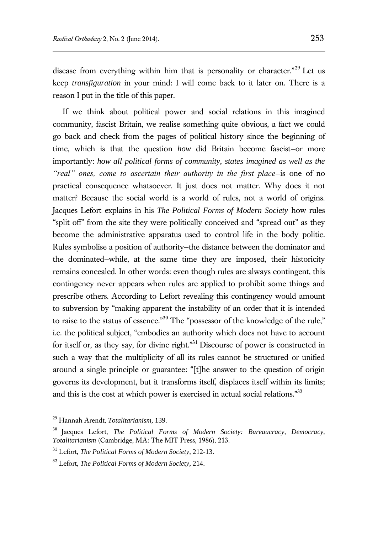disease from everything within him that is personality or character."<sup>29</sup> Let us keep *transfiguration* in your mind: I will come back to it later on. There is a reason I put in the title of this paper.

If we think about political power and social relations in this imagined community, fascist Britain, we realise something quite obvious, a fact we could go back and check from the pages of political history since the beginning of time, which is that the question *how* did Britain become fascist—or more importantly: *how all political forms of community, states imagined as well as the "real" ones, come to ascertain their authority in the first place*—is one of no practical consequence whatsoever. It just does not matter. Why does it not matter? Because the social world is a world of rules, not a world of origins. Jacques Lefort explains in his *The Political Forms of Modern Society* how rules "split off" from the site they were politically conceived and "spread out" as they become the administrative apparatus used to control life in the body politic. Rules symbolise a position of authority—the distance between the dominator and the dominated—while, at the same time they are imposed, their historicity remains concealed. In other words: even though rules are always contingent, this contingency never appears when rules are applied to prohibit some things and prescribe others. According to Lefort revealing this contingency would amount to subversion by "making apparent the instability of an order that it is intended to raise to the status of essence."<sup>30</sup> The "possessor of the knowledge of the rule," i.e. the political subject, "embodies an authority which does not have to account for itself or, as they say, for divine right."<sup>31</sup> Discourse of power is constructed in such a way that the multiplicity of all its rules cannot be structured or unified around a single principle or guarantee: "[t]he answer to the question of origin governs its development, but it transforms itself, displaces itself within its limits; and this is the cost at which power is exercised in actual social relations."<sup>32</sup>

<sup>29</sup> Hannah Arendt, *Totalitarianism*, 139.

<sup>30</sup> Jacques Lefort, *The Political Forms of Modern Society: Bureaucracy, Democracy, Totalitarianism* (Cambridge, MA: The MIT Press, 1986), 213.

<sup>31</sup> Lefort, *The Political Forms of Modern Society*, 212-13.

<sup>32</sup> Lefort, *The Political Forms of Modern Society*, 214.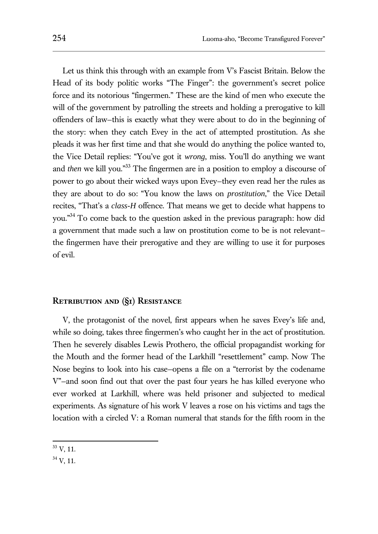Let us think this through with an example from V's Fascist Britain. Below the Head of its body politic works "The Finger": the government's secret police force and its notorious "fingermen." These are the kind of men who execute the will of the government by patrolling the streets and holding a prerogative to kill offenders of law—this is exactly what they were about to do in the beginning of the story: when they catch Evey in the act of attempted prostitution. As she pleads it was her first time and that she would do anything the police wanted to, the Vice Detail replies: "You've got it *wrong*, miss. You'll do anything we want and *then* we kill you."<sup>33</sup> The fingermen are in a position to employ a discourse of power to go about their wicked ways upon Evey—they even read her the rules as they are about to do so: "You know the laws on *prostitution*," the Vice Detail recites, "That's a *class-H* offence. That means we get to decide what happens to you."<sup>34</sup> To come back to the question asked in the previous paragraph: how did a government that made such a law on prostitution come to be is not relevant the fingermen have their prerogative and they are willing to use it for purposes of evil.

#### **Retribution and (§1) Resistance**

V, the protagonist of the novel, first appears when he saves Evey's life and, while so doing, takes three fingermen's who caught her in the act of prostitution. Then he severely disables Lewis Prothero, the official propagandist working for the Mouth and the former head of the Larkhill "resettlement" camp. Now The Nose begins to look into his case—opens a file on a "terrorist by the codename V"—and soon find out that over the past four years he has killed everyone who ever worked at Larkhill, where was held prisoner and subjected to medical experiments. As signature of his work V leaves a rose on his victims and tags the location with a circled V: a Roman numeral that stands for the fifth room in the

 $\overline{a}$  $33 \text{ V}, 11.$ 

<sup>34</sup> V, 11.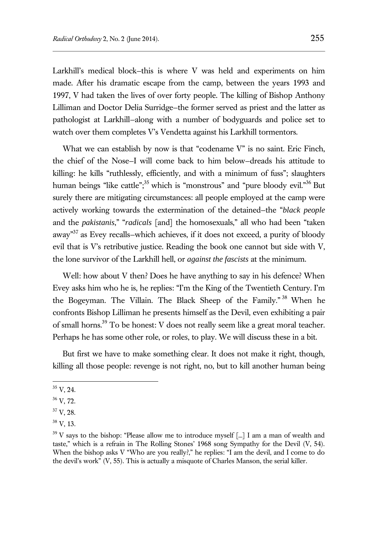Larkhill's medical block—this is where V was held and experiments on him made. After his dramatic escape from the camp, between the years 1993 and 1997, V had taken the lives of over forty people. The killing of Bishop Anthony Lilliman and Doctor Delia Surridge—the former served as priest and the latter as pathologist at Larkhill—along with a number of bodyguards and police set to watch over them completes V's Vendetta against his Larkhill tormentors.

What we can establish by now is that "codename V" is no saint. Eric Finch, the chief of the Nose—I will come back to him below—dreads his attitude to killing: he kills "ruthlessly, efficiently, and with a minimum of fuss"; slaughters human beings "like cattle";<sup>35</sup> which is "monstrous" and "pure bloody evil."<sup>36</sup> But surely there are mitigating circumstances: all people employed at the camp were actively working towards the extermination of the detained—the "*black people* and the *pakistanis*," "*radicals* [and] the homosexuals," all who had been "taken away"<sup>37</sup> as Evey recalls-which achieves, if it does not exceed, a purity of bloody evil that is V's retributive justice. Reading the book one cannot but side with V, the lone survivor of the Larkhill hell, or *against the fascists* at the minimum.

Well: how about V then? Does he have anything to say in his defence? When Evey asks him who he is, he replies: "I'm the King of the Twentieth Century. I'm the Bogeyman. The Villain. The Black Sheep of the Family." <sup>38</sup> When he confronts Bishop Lilliman he presents himself as the Devil, even exhibiting a pair of small horns.<sup>39</sup> To be honest: V does not really seem like a great moral teacher. Perhaps he has some other role, or role*s*, to play. We will discuss these in a bit.

But first we have to make something clear. It does not make it right, though, killing all those people: revenge is not right, no, but to kill another human being

 $35$  V, 24.

<sup>36</sup> V, 72.

 $37 \text{ V}$ , 28.

 $38 \text{ V}$ , 13.

 $39$  V says to the bishop: "Please allow me to introduce myself [...] I am a man of wealth and taste," which is a refrain in The Rolling Stones' 1968 song Sympathy for the Devil (V, 54). When the bishop asks V "Who are you really?," he replies: "I am the devil, and I come to do the devil's work" (V, 55). This is actually a misquote of Charles Manson, the serial killer.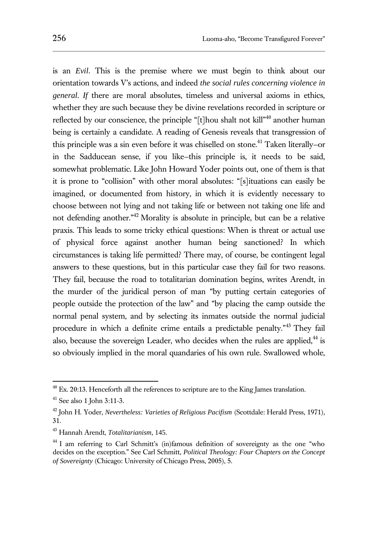is an *Evil*. This is the premise where we must begin to think about our orientation towards V's actions, and indeed *the social rules concerning violence in general*. *If* there are moral absolutes, timeless and universal axioms in ethics, whether they are such because they be divine revelations recorded in scripture or reflected by our conscience, the principle "[t]hou shalt not kill"<sup>40</sup> another human being is certainly a candidate. A reading of Genesis reveals that transgression of this principle was a sin even before it was chiselled on stone.<sup>41</sup> Taken literally–or in the Sadducean sense, if you like—this principle is, it needs to be said, somewhat problematic. Like John Howard Yoder points out, one of them is that it is prone to "collision" with other moral absolutes: "[s]ituations can easily be imagined, or documented from history, in which it is evidently necessary to choose between not lying and not taking life or between not taking one life and not defending another.<sup>"42</sup> Morality is absolute in principle, but can be a relative praxis. This leads to some tricky ethical questions: When is threat or actual use of physical force against another human being sanctioned? In which circumstances is taking life permitted? There may, of course, be contingent legal answers to these questions, but in this particular case they fail for two reasons. They fail, because the road to totalitarian domination begins, writes Arendt, in the murder of the juridical person of man "by putting certain categories of people outside the protection of the law" and "by placing the camp outside the normal penal system, and by selecting its inmates outside the normal judicial procedure in which a definite crime entails a predictable penalty."<sup>43</sup> They fail also, because the sovereign Leader, who decides when the rules are applied, $44$  is so obviously implied in the moral quandaries of his own rule. Swallowed whole,

 $^{40}$  Ex. 20:13. Henceforth all the references to scripture are to the King James translation.

<sup>41</sup> See also 1 John 3:11-3.

<sup>42</sup> John H. Yoder, *Nevertheless: Varieties of Religious Pacifism* (Scottdale: Herald Press, 1971), 31.

<sup>43</sup> Hannah Arendt, *Totalitarianism*, 145.

<sup>&</sup>lt;sup>44</sup> I am referring to Carl Schmitt's (in)famous definition of sovereignty as the one "who decides on the exception." See Carl Schmitt, *Political Theology: Four Chapters on the Concept of Sovereignty* (Chicago: University of Chicago Press, 2005), 5.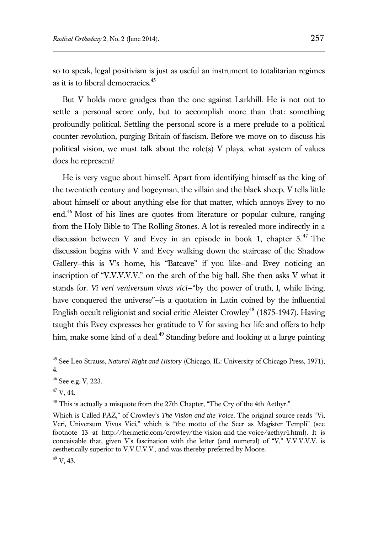so to speak, legal positivism is just as useful an instrument to totalitarian regimes as it is to liberal democracies.<sup>45</sup>

But V holds more grudges than the one against Larkhill. He is not out to settle a personal score only, but to accomplish more than that: something profoundly political. Settling the personal score is a mere prelude to a political counter-revolution, purging Britain of fascism. Before we move on to discuss his political vision, we must talk about the role(s) V plays, what system of values does he represent?

He is very vague about himself. Apart from identifying himself as the king of the twentieth century and bogeyman, the villain and the black sheep, V tells little about himself or about anything else for that matter, which annoys Evey to no end.<sup>46</sup> Most of his lines are quotes from literature or popular culture, ranging from the Holy Bible to The Rolling Stones. A lot is revealed more indirectly in a discussion between V and Evey in an episode in book 1, chapter  $5.^{47}$  The discussion begins with V and Evey walking down the staircase of the Shadow Gallery—this is V's home, his "Batcave" if you like—and Evey noticing an inscription of "V.V.V.V.V." on the arch of the big hall. She then asks V what it stands for. *Vi veri veniversum vivus vici*—"by the power of truth, I, while living, have conquered the universe"—is a quotation in Latin coined by the influential English occult religionist and social critic Aleister Crowley<sup>48</sup> (1875-1947). Having taught this Evey expresses her gratitude to V for saving her life and offers to help him, make some kind of a deal.<sup>49</sup> Standing before and looking at a large painting

 $47$  V, 44.

<sup>45</sup> See Leo Strauss, *Natural Right and History* (Chicago, IL: University of Chicago Press, 1971), 4.

 $46$  See e.g. V, 223.

<sup>&</sup>lt;sup>48</sup> This is actually a misquote from the 27th Chapter, "The Cry of the 4th Aethyr."

Which is Called PAZ," of Crowley's *The Vision and the Voice*. The original source reads "Vi, Veri, Universum Vivus Vici," which is "the motto of the Seer as Magister Templi" (see footnote 13 at http://hermetic.com/crowley/the-vision-and-the-voice/aethyr4.html). It is conceivable that, given V's fascination with the letter (and numeral) of "V," V.V.V.V.V. is aesthetically superior to V.V.U.V.V., and was thereby preferred by Moore.

 $49$  V, 43.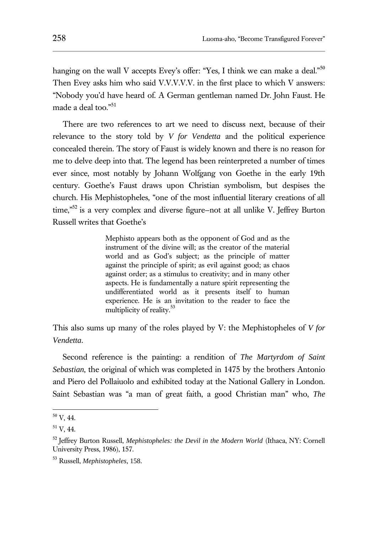hanging on the wall V accepts Evey's offer: "Yes, I think we can make a deal." $50$ Then Evey asks him who said V.V.V.V.V. in the first place to which V answers: "Nobody you'd have heard of. A German gentleman named Dr. John Faust. He made a deal too."<sup>51</sup>

There are two references to art we need to discuss next, because of their relevance to the story told by *V for Vendetta* and the political experience concealed therein. The story of Faust is widely known and there is no reason for me to delve deep into that. The legend has been reinterpreted a number of times ever since, most notably by Johann Wolfgang von Goethe in the early 19th century. Goethe's Faust draws upon Christian symbolism, but despises the church. His Mephistopheles, "one of the most influential literary creations of all time,"<sup>52</sup> is a very complex and diverse figure–not at all unlike V. Jeffrey Burton Russell writes that Goethe's

> Mephisto appears both as the opponent of God and as the instrument of the divine will; as the creator of the material world and as God's subject; as the principle of matter against the principle of spirit; as evil against good; as chaos against order; as a stimulus to creativity; and in many other aspects. He is fundamentally a nature spirit representing the undifferentiated world as it presents itself to human experience. He is an invitation to the reader to face the multiplicity of reality.<sup>53</sup>

This also sums up many of the roles played by V: the Mephistopheles of *V for Vendetta*.

Second reference is the painting: a rendition of *The Martyrdom of Saint Sebastian*, the original of which was completed in 1475 by the brothers Antonio and Piero del Pollaiuolo and exhibited today at the National Gallery in London. Saint Sebastian was "a man of great faith, a good Christian man" who, *The* 

 $^{50}$  V, 44.

<sup>51</sup> V, 44.

<sup>52</sup> Jeffrey Burton Russell, *Mephistopheles: the Devil in the Modern World* (Ithaca, NY: Cornell University Press, 1986), 157.

<sup>53</sup> Russell, *Mephistopheles*, 158.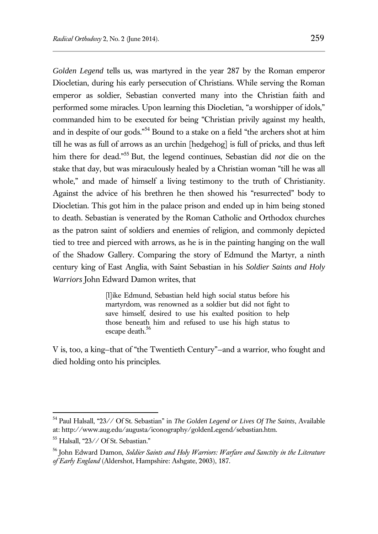*Golden Legend* tells us, was martyred in the year 287 by the Roman emperor Diocletian, during his early persecution of Christians. While serving the Roman emperor as soldier, Sebastian converted many into the Christian faith and performed some miracles. Upon learning this Diocletian, "a worshipper of idols," commanded him to be executed for being "Christian privily against my health, and in despite of our gods."<sup>54</sup> Bound to a stake on a field "the archers shot at him till he was as full of arrows as an urchin [hedgehog] is full of pricks, and thus left him there for dead."<sup>55</sup> But, the legend continues, Sebastian did *not* die on the stake that day, but was miraculously healed by a Christian woman "till he was all whole," and made of himself a living testimony to the truth of Christianity. Against the advice of his brethren he then showed his "resurrected" body to Diocletian. This got him in the palace prison and ended up in him being stoned to death. Sebastian is venerated by the Roman Catholic and Orthodox churches as the patron saint of soldiers and enemies of religion, and commonly depicted tied to tree and pierced with arrows, as he is in the painting hanging on the wall of the Shadow Gallery. Comparing the story of Edmund the Martyr, a ninth century king of East Anglia, with Saint Sebastian in his *Soldier Saints and Holy Warriors* John Edward Damon writes, that

> [l]ike Edmund, Sebastian held high social status before his martyrdom, was renowned as a soldier but did not fight to save himself, desired to use his exalted position to help those beneath him and refused to use his high status to escape death.<sup>56</sup>

V is, too, a king—that of "the Twentieth Century"—and a warrior, who fought and died holding onto his principles.

<sup>54</sup> Paul Halsall, "23// Of St. Sebastian" in *The Golden Legend or Lives Of The Saints*, Available at: http://www.aug.edu/augusta/iconography/goldenLegend/sebastian.htm.

<sup>55</sup> Halsall, "23// Of St. Sebastian."

<sup>56</sup> John Edward Damon, *Soldier Saints and Holy Warriors: Warfare and Sanctity in the Literature of Early England* (Aldershot, Hampshire: Ashgate, 2003), 187.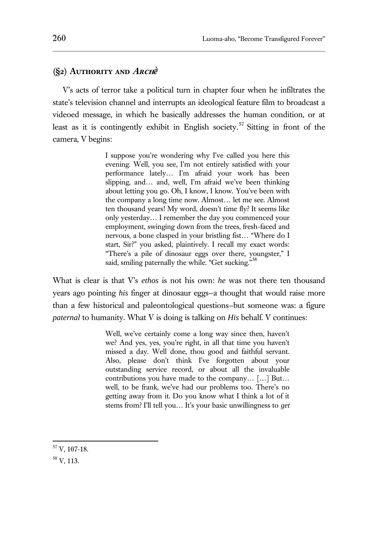## **(§2) Authority and Arch***ḕ*

V's acts of terror take a political turn in chapter four when he infiltrates the state's television channel and interrupts an ideological feature film to broadcast a videoed message, in which he basically addresses the human condition, or at least as it is contingently exhibit in English society. <sup>57</sup> Sitting in front of the camera, V begins:

> I suppose you're wondering why I've called you here this evening. Well, you see, I'm not entirely satisfied with your performance lately… I'm afraid your work has been slipping, and… and, well, I'm afraid we've been thinking about letting you go. Oh, I know, I know. You've been with the company a long time now. Almost… let me see. Almost ten thousand years! My word, doesn't time fly? It seems like only yesterday… I remember the day you commenced your employment, swinging down from the trees, fresh-faced and nervous, a bone clasped in your bristling fist… "Where do I start, Sir?" you asked, plaintively. I recall my exact words: "There's a pile of dinosaur eggs over there, youngster," I said, smiling paternally the while. "Get sucking."<sup>58</sup>

What is clear is that V's *ethos* is not his own: *he* was not there ten thousand years ago pointing *his* finger at dinosaur eggs—a thought that would raise more than a few historical and paleontological questions—but someone was: a figure *paternal* to humanity. What V is doing is talking on *His* behalf. V continues:

> Well, we've certainly come a long way since then, haven't we? And yes, yes, you're right, in all that time you haven't missed a day. Well done, thou good and faithful servant. Also, please don't think I've forgotten about your outstanding service record, or about all the invaluable contributions you have made to the company… […] But… well, to be frank, we've had our problems too. There's no getting away from it. Do you know what I think a lot of it stems from? I'll tell you… It's your basic unwillingness to *get*

 $57$  V, 107-18.

<sup>58</sup> V, 113.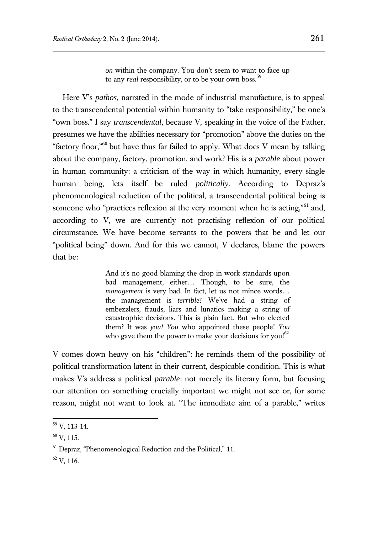*on* within the company. You don't seem to want to face up to any *real* responsibility, or to be your own boss.<sup>59</sup>

Here V's *pathos*, narrated in the mode of industrial manufacture, is to appeal to the transcendental potential within humanity to "take responsibility," be one's "own boss." I say *transcendental*, because V, speaking in the voice of the Father, presumes we have the abilities necessary for "promotion" above the duties on the "factory floor,"<sup>60</sup> but have thus far failed to apply. What does V mean by talking about the company, factory, promotion, and work? His is a *parable* about power in human community: a criticism of the way in which humanity, every single human being, lets itself be ruled *politically*. According to Depraz's phenomenological reduction of the political, a transcendental political being is someone who "practices reflexion at the very moment when he is acting,"<sup>61</sup> and, according to V, we are currently not practising reflexion of our political circumstance. We have become servants to the powers that be and let our "political being" down. And for this we cannot, V declares, blame the powers that be:

> And it's no good blaming the drop in work standards upon bad management, either… Though, to be sure, the *management* is very bad. In fact, let us not mince words… the management is *terrible!* We've had a string of embezzlers, frauds, liars and lunatics making a string of catastrophic decisions. This is plain fact. But who elected them? It was *you! You* who appointed these people! *You* who gave them the power to make your decisions for you! $62$

V comes down heavy on his "children": he reminds them of the possibility of political transformation latent in their current, despicable condition. This is what makes V's address a political *parable*: not merely its literary form, but focusing our attention on something crucially important we might not see or, for some reason, might not want to look at. "The immediate aim of a parable," writes

 $59$  V, 113-14.

 $^{60}$  V, 115.

<sup>61</sup> Depraz, "Phenomenological Reduction and the Political," 11.

 $62$  V, 116.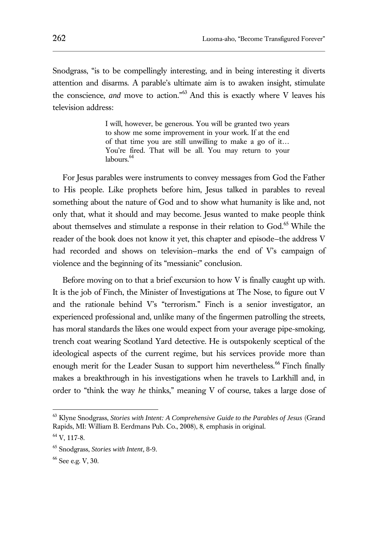Snodgrass, "is to be compellingly interesting, and in being interesting it diverts attention and disarms. A parable's ultimate aim is to awaken insight, stimulate the conscience, *and* move to action."<sup>63</sup> And this is exactly where V leaves his television address:

> I will, however, be generous. You will be granted two years to show me some improvement in your work. If at the end of that time you are still unwilling to make a go of it… You're fired. That will be all. You may return to your labours.<sup>64</sup>

For Jesus parables were instruments to convey messages from God the Father to His people. Like prophets before him, Jesus talked in parables to reveal something about the nature of God and to show what humanity is like and, not only that, what it should and may become. Jesus wanted to make people think about themselves and stimulate a response in their relation to God.<sup>65</sup> While the reader of the book does not know it yet, this chapter and episode—the address V had recorded and shows on television—marks the end of V's campaign of violence and the beginning of its "messianic" conclusion.

Before moving on to that a brief excursion to how V is finally caught up with. It is the job of Finch, the Minister of Investigations at The Nose, to figure out V and the rationale behind V's "terrorism." Finch is a senior investigator, an experienced professional and, unlike many of the fingermen patrolling the streets, has moral standards the likes one would expect from your average pipe-smoking, trench coat wearing Scotland Yard detective. He is outspokenly sceptical of the ideological aspects of the current regime, but his services provide more than enough merit for the Leader Susan to support him nevertheless.<sup>66</sup> Finch finally makes a breakthrough in his investigations when he travels to Larkhill and, in order to "think the way *he* thinks," meaning V of course, takes a large dose of

<sup>63</sup> Klyne Snodgrass, *Stories with Intent: A Comprehensive Guide to the Parables of Jesus* (Grand Rapids, MI: William B. Eerdmans Pub. Co., 2008), 8, emphasis in original.

 $64$  V, 117-8.

<sup>65</sup> Snodgrass, *Stories with Intent*, 8-9.

<sup>66</sup> See e.g. V, 30.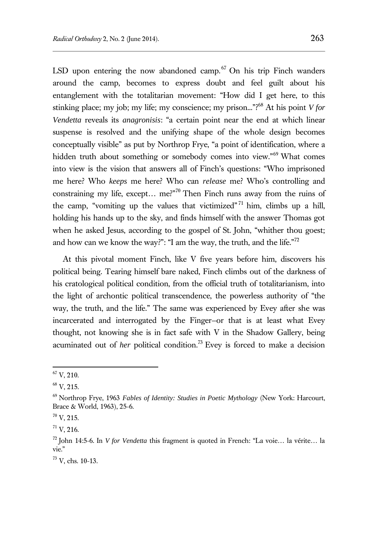LSD upon entering the now abandoned camp. $67$  On his trip Finch wanders around the camp, becomes to express doubt and feel guilt about his entanglement with the totalitarian movement: "How did I get here, to this stinking place; my job; my life; my conscience; my prison..."?<sup>68</sup> At his point *V for Vendetta* reveals its *anagronisis*: "a certain point near the end at which linear suspense is resolved and the unifying shape of the whole design becomes conceptually visible" as put by Northrop Frye, "a point of identification, where a hidden truth about something or somebody comes into view."<sup>69</sup> What comes into view is the vision that answers all of Finch's questions: "Who imprisoned me here? Who *keeps* me here? Who can *release* me? Who's controlling and constraining my life, except... me?"<sup>70</sup> Then Finch runs away from the ruins of the camp, "vomiting up the values that victimized"  $71$  him, climbs up a hill, holding his hands up to the sky, and finds himself with the answer Thomas got when he asked Jesus, according to the gospel of St. John, "whither thou goest; and how can we know the way?": "I am the way, the truth, and the life."<sup>72</sup>

At this pivotal moment Finch, like V five years before him, discovers his political being. Tearing himself bare naked, Finch climbs out of the darkness of his cratological political condition, from the official truth of totalitarianism, into the light of archontic political transcendence, the powerless authority of "the way, the truth, and the life." The same was experienced by Evey after she was incarcerated and interrogated by the Finger—or that is at least what Evey thought, not knowing she is in fact safe with V in the Shadow Gallery, being acuminated out of *her* political condition.<sup>73</sup> Evey is forced to make a decision

 $^{67}\,$  V, 210.

 $68$  V, 215.

<sup>69</sup> Northrop Frye, 1963 *Fables of Identity: Studies in Poetic Mythology* (New York: Harcourt, Brace & World, 1963), 25-6.

 $70$  V, 215.

 $^{71}$  V, 216.

<sup>72</sup> John 14:5-6. In *V for Vendetta* this fragment is quoted in French: "La voie… la vérite… la vie."

<sup>73</sup> V, chs. 10-13.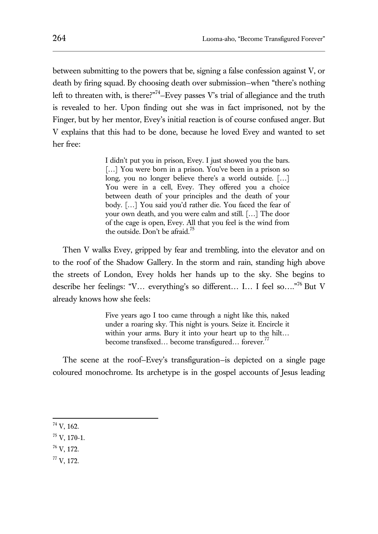between submitting to the powers that be, signing a false confession against V, or death by firing squad. By choosing death over submission—when "there's nothing left to threaten with, is there?"<sup>74</sup>-Evey passes V's trial of allegiance and the truth is revealed to her. Upon finding out she was in fact imprisoned, not by the Finger, but by her mentor, Evey's initial reaction is of course confused anger. But V explains that this had to be done, because he loved Evey and wanted to set her free:

> I didn't put you in prison, Evey. I just showed you the bars. [...] You were born in a prison. You've been in a prison so long, you no longer believe there's a world outside. […] You were in a cell, Evey. They offered you a choice between death of your principles and the death of your body. […] You said you'd rather die. You faced the fear of your own death, and you were calm and still. […] The door of the cage is open, Evey. All that you feel is the wind from the outside. Don't be afraid.<sup>75</sup>

Then V walks Evey, gripped by fear and trembling, into the elevator and on to the roof of the Shadow Gallery. In the storm and rain, standing high above the streets of London, Evey holds her hands up to the sky. She begins to describe her feelings: "V… everything's so different… I… I feel so…."<sup>76</sup> But V already knows how she feels:

> Five years ago I too came through a night like this, naked under a roaring sky. This night is yours. Seize it. Encircle it within your arms. Bury it into your heart up to the hilt… become transfixed... become transfigured... forever.<sup>77</sup>

The scene at the roof—Evey's transfiguration—is depicted on a single page coloured monochrome. Its archetype is in the gospel accounts of Jesus leading

- <sup>76</sup> V, 172.
- <sup>77</sup> V, 172.

<sup>74</sup> V, 162.

<sup>75</sup> V, 170-1.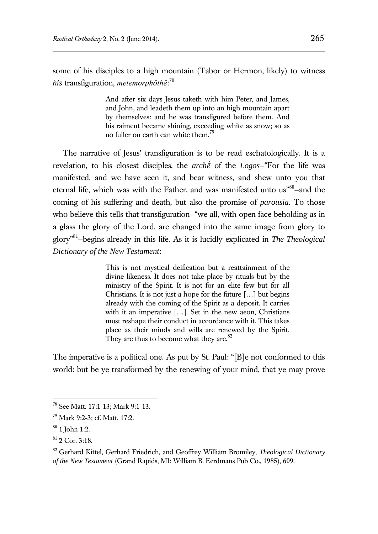some of his disciples to a high mountain (Tabor or Hermon, likely) to witness *his* transfiguration, *metemorphōthē*: 78

> And after six days Jesus taketh with him Peter, and James, and John, and leadeth them up into an high mountain apart by themselves: and he was transfigured before them. And his raiment became shining, exceeding white as snow; so as no fuller on earth can white them.<sup>79</sup>

The narrative of Jesus' transfiguration is to be read eschatologically. It is a revelation, to his closest disciples, the *archḕ* of the *Logos*—"For the life was manifested, and we have seen it, and bear witness, and shew unto you that eternal life, which was with the Father, and was manifested unto us"80-and the coming of his suffering and death, but also the promise of *parousia*. To those who believe this tells that transfiguration—"we all, with open face beholding as in a glass the glory of the Lord, are changed into the same image from glory to glory"<sup>81</sup> —begins already in this life. As it is lucidly explicated in *The Theological Dictionary of the New Testament*:

> This is not mystical deification but a reattainment of the divine likeness. It does not take place by rituals but by the ministry of the Spirit. It is not for an elite few but for all Christians. It is not just a hope for the future […] but begins already with the coming of the Spirit as a deposit. It carries with it an imperative […]. Set in the new aeon, Christians must reshape their conduct in accordance with it. This takes place as their minds and wills are renewed by the Spirit. They are thus to become what they are.<sup>82</sup>

The imperative is a political one. As put by St. Paul: "[B]e not conformed to this world: but be ye transformed by the renewing of your mind, that ye may prove

<sup>78</sup> See Matt. 17:1-13; Mark 9:1-13.

<sup>79</sup> Mark 9:2-3; cf. Matt. 17:2.

 $80$  1 John 1:2.

<sup>81</sup> 2 Cor. 3:18.

<sup>82</sup> Gerhard Kittel, Gerhard Friedrich, and Geoffrey William Bromiley, *Theological Dictionary of the New Testament* (Grand Rapids, MI: William B. Eerdmans Pub Co., 1985), 609.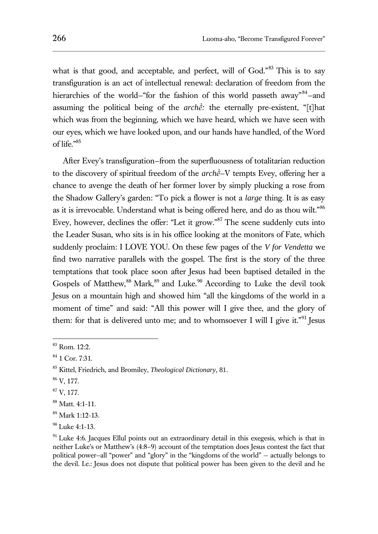what is that good, and acceptable, and perfect, will of God."<sup>83</sup> This is to say transfiguration is an act of intellectual renewal: declaration of freedom from the hierarchies of the world–"for the fashion of this world passeth away"<sup>84</sup>-and assuming the political being of the *archḕ:* the eternally pre-existent, "[t]hat which was from the beginning, which we have heard, which we have seen with our eyes, which we have looked upon, and our hands have handled, of the Word of life."<sup>85</sup>

After Evey's transfiguration—from the superfluousness of totalitarian reduction to the discovery of spiritual freedom of the *archḕ*—V tempts Evey, offering her a chance to avenge the death of her former lover by simply plucking a rose from the Shadow Gallery's garden: "To pick a flower is not a *large* thing. It is as easy as it is irrevocable. Understand what is being offered here, and do as thou wilt."<sup>86</sup> Evey, however, declines the offer: "Let it grow."<sup>87</sup> The scene suddenly cuts into the Leader Susan, who sits is in his office looking at the monitors of Fate, which suddenly proclaim: I LOVE YOU. On these few pages of the *V for Vendetta* we find two narrative parallels with the gospel. The first is the story of the three temptations that took place soon after Jesus had been baptised detailed in the Gospels of Matthew,<sup>88</sup> Mark,<sup>89</sup> and Luke.<sup>90</sup> According to Luke the devil took Jesus on a mountain high and showed him "all the kingdoms of the world in a moment of time" and said: "All this power will I give thee, and the glory of them: for that is delivered unto me; and to whomsoever I will I give it."<sup>91</sup> Jesus

<sup>86</sup> V, 177.

<sup>83</sup> Rom. 12:2.

<sup>84</sup> 1 Cor. 7:31.

<sup>85</sup> Kittel, Friedrich, and Bromiley, *Theological Dictionary*, 81.

 $87$  V, 177.

<sup>88</sup> Matt. 4:1-11.

<sup>89</sup> Mark 1:12-13.

 $90$  Luke 4:1-13.

<sup>&</sup>lt;sup>91</sup> Luke 4:6. Jacques Ellul points out an extraordinary detail in this exegesis, which is that in neither Luke's or Matthew's (4:8–9) account of the temptation does Jesus contest the fact that political power—all "power" and "glory" in the "kingdoms of the world" -- actually belongs to the devil. I.e.: Jesus does not dispute that political power has been given to the devil and he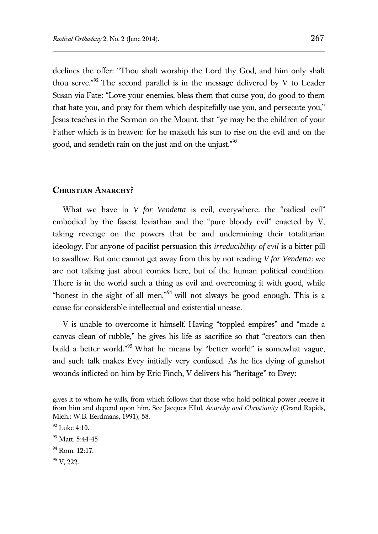declines the offer: "Thou shalt worship the Lord thy God, and him only shalt thou serve."<sup>92</sup> The second parallel is in the message delivered by V to Leader Susan via Fate: "Love your enemies, bless them that curse you, do good to them that hate you, and pray for them which despitefully use you, and persecute you," Jesus teaches in the Sermon on the Mount, that "ye may be the children of your Father which is in heaven: for he maketh his sun to rise on the evil and on the good, and sendeth rain on the just and on the unjust."<sup>93</sup>

#### **Christian Anarchy?**

What we have in *V for Vendetta* is evil, everywhere: the "radical evil" embodied by the fascist leviathan and the "pure bloody evil" enacted by V, taking revenge on the powers that be and undermining their totalitarian ideology. For anyone of pacifist persuasion this *irreducibility of evil* is a bitter pill to swallow. But one cannot get away from this by not reading *V for Vendetta*: we are not talking just about comics here, but of the human political condition. There is in the world such a thing as evil and overcoming it with good, while "honest in the sight of all men," $94$  will not always be good enough. This is a cause for considerable intellectual and existential unease.

V is unable to overcome it himself. Having "toppled empires" and "made a canvas clean of rubble," he gives his life as sacrifice so that "creators can then build a better world."<sup>95</sup> What he means by "better world" is somewhat vague, and such talk makes Evey initially very confused. As he lies dying of gunshot wounds inflicted on him by Eric Finch, V delivers his "heritage" to Evey:

gives it to whom he wills, from which follows that those who hold political power receive it from him and depend upon him. See Jacques Ellul, *Anarchy and Christianity* (Grand Rapids, Mich.: W.B. Eerdmans, 1991), 58.

 $92$  Luke 4:10.

<sup>&</sup>lt;sup>93</sup> Matt. 5:44-45

 $94$  Rom. 12:17.

 $95$  V, 222.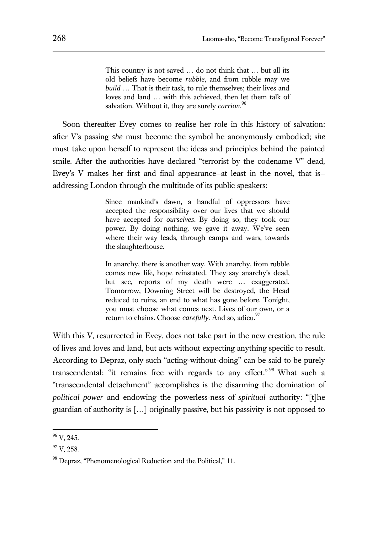This country is not saved … do not think that … but all its old beliefs have become *rubble*, and from rubble may we *build* … That is their task, to rule themselves; their lives and loves and land … with this achieved, then let them talk of salvation. Without it, they are surely *carrion*. 96

Soon thereafter Evey comes to realise her role in this history of salvation: after V's passing *she* must become the symbol he anonymously embodied; s*he* must take upon herself to represent the ideas and principles behind the painted smile. After the authorities have declared "terrorist by the codename V" dead, Evey's V makes her first and final appearance—at least in the novel, that is addressing London through the multitude of its public speakers:

> Since mankind's dawn, a handful of oppressors have accepted the responsibility over our lives that we should have accepted for *ourselves*. By doing so, they took our power. By doing nothing, we gave it away. We've seen where their way leads, through camps and wars, towards the slaughterhouse.

> In anarchy, there is another way. With anarchy, from rubble comes new life, hope reinstated. They say anarchy's dead, but see, reports of my death were … exaggerated. Tomorrow, Downing Street will be destroyed, the Head reduced to ruins, an end to what has gone before. Tonight, you must choose what comes next. Lives of our own, or a return to chains. Choose *carefully*. And so, adieu.<sup>97</sup>

With this V, resurrected in Evey, does not take part in the new creation, the rule of lives and loves and land, but acts without expecting anything specific to result. According to Depraz, only such "acting-without-doing" can be said to be purely transcendental: "it remains free with regards to any effect." <sup>98</sup> What such a "transcendental detachment" accomplishes is the disarming the domination of *political power* and endowing the powerless-ness of *spiritual* authority: "[t]he guardian of authority is […] originally passive, but his passivity is not opposed to

 $^{96}$  V, 245.

 $97$  V, 258.

<sup>98</sup> Depraz, "Phenomenological Reduction and the Political," 11.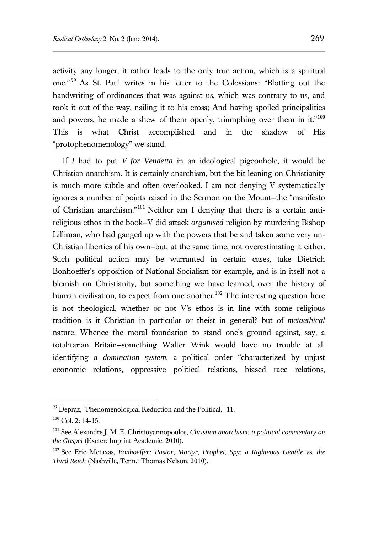activity any longer, it rather leads to the only true action, which is a spiritual one." <sup>99</sup> As St. Paul writes in his letter to the Colossians: "Blotting out the handwriting of ordinances that was against us, which was contrary to us, and took it out of the way, nailing it to his cross; And having spoiled principalities and powers, he made a shew of them openly, triumphing over them in it." $100$ This is what Christ accomplished and in the shadow of His "protophenomenology" we stand.

If *I* had to put *V for Vendetta* in an ideological pigeonhole, it would be Christian anarchism. It is certainly anarchism, but the bit leaning on Christianity is much more subtle and often overlooked. I am not denying V systematically ignores a number of points raised in the Sermon on the Mount—the "manifesto of Christian anarchism."<sup>101</sup> Neither am I denying that there is a certain antireligious ethos in the book—V did attack *organised* religion by murdering Bishop Lilliman, who had ganged up with the powers that be and taken some very un-Christian liberties of his own—but, at the same time, not overestimating it either. Such political action may be warranted in certain cases, take Dietrich Bonhoeffer's opposition of National Socialism for example, and is in itself not a blemish on Christianity, but something we have learned, over the history of human civilisation, to expect from one another.<sup>102</sup> The interesting question here is not theological, whether or not V's ethos is in line with some religious tradition—is it Christian in particular or theist in general?—but of *metaethical* nature. Whence the moral foundation to stand one's ground against, say, a totalitarian Britain—something Walter Wink would have no trouble at all identifying a *domination system*, a political order "characterized by unjust economic relations, oppressive political relations, biased race relations,

<sup>&</sup>lt;sup>99</sup> Depraz, "Phenomenological Reduction and the Political," 11.

 $100$  Col. 2: 14-15.

<sup>101</sup> See Alexandre J. M. E. Christoyannopoulos, *Christian anarchism: a political commentary on the Gospel* (Exeter: Imprint Academic, 2010).

<sup>102</sup> See Eric Metaxas, *Bonhoeffer: Pastor, Martyr, Prophet, Spy: a Righteous Gentile vs. the Third Reich* (Nashville, Tenn.: Thomas Nelson, 2010).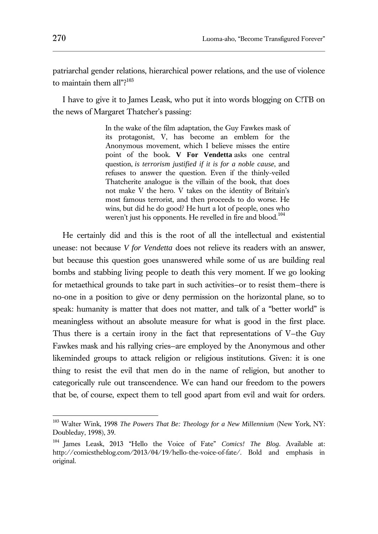patriarchal gender relations, hierarchical power relations, and the use of violence to maintain them all"?<sup>103</sup>

I have to give it to James Leask, who put it into words blogging on C!TB on the news of Margaret Thatcher's passing:

> In the wake of the film adaptation, the Guy Fawkes mask of its protagonist, V, has become an emblem for the Anonymous movement, which I believe misses the entire point of the book. **V For Vendetta** asks one central question, *is terrorism justified if it is for a noble cause*, and refuses to answer the question. Even if the thinly-veiled Thatcherite analogue is the villain of the book, that does not make V the hero. V takes on the identity of Britain's most famous terrorist, and then proceeds to do worse. He wins, but did he do good? He hurt a lot of people, ones who weren't just his opponents. He revelled in fire and blood.<sup>104</sup>

He certainly did and this is the root of all the intellectual and existential unease: not because *V for Vendetta* does not relieve its readers with an answer, but because this question goes unanswered while some of us are building real bombs and stabbing living people to death this very moment. If we go looking for metaethical grounds to take part in such activities—or to resist them—there is no-one in a position to give or deny permission on the horizontal plane, so to speak: humanity is matter that does not matter, and talk of a "better world" is meaningless without an absolute measure for what is good in the first place. Thus there is a certain irony in the fact that representations of V—the Guy Fawkes mask and his rallying cries—are employed by the Anonymous and other likeminded groups to attack religion or religious institutions. Given: it is one thing to resist the evil that men do in the name of religion, but another to categorically rule out transcendence. We can hand our freedom to the powers that be, of course, expect them to tell good apart from evil and wait for orders.

<sup>103</sup> Walter Wink, 1998 *The Powers That Be: Theology for a New Millennium* (New York, NY: Doubleday, 1998), 39.

<sup>104</sup> James Leask, 2013 "Hello the Voice of Fate" *Comics! The Blog*. Available at: http://comicstheblog.com/2013/04/19/hello-the-voice-of-fate/. Bold and emphasis in original.